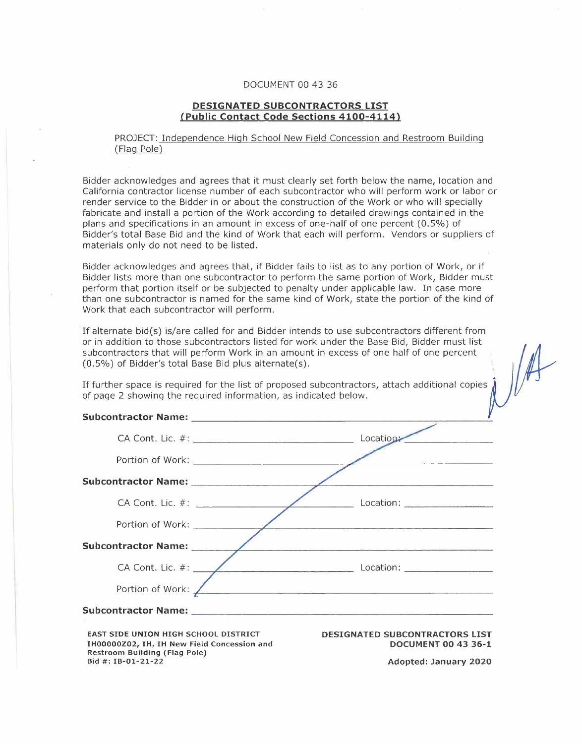## DOCUMENT 00 43 36

## **DESIGNATED SUBCONTRACTORS LIST {Public Contact Code Sections 4100-4114)**

## PROJECT: Independence High School New Field Concession and Restroom Building (Flag Pole)

Bidder acknowledges and agrees that it must clearly set forth below the name, location and California contractor license number of each subcontractor who will perform work or labor or render service to the Bidder in or about the construction of the Work or who will specially fabricate and install a portion of the Work according to detailed drawings contained in the plans and specifications in an amount in excess of one-half of one percent (0.5%) of Bidder's total Base Bid and the kind of Work that each will perform. Vendors or suppliers of materials only do not need to be listed.

Bidder acknowledges and agrees that, if Bidder fails to list as to any portion of Work, or if Bidder lists more than one subcontractor to perform the same portion of Work, Bidder must perform that portion itself or be subjected to penalty under applicable law. In case more than one subcontractor is named for the same kind of Work, state the portion of the kind of Work that each subcontractor will perform.

If alternate bid(s) is/are called for and Bidder intends to use subcontractors different from or in addition to those subcontractors listed for work under the Base Bid, Bidder must list subcontractors that will perform Work in an amount in excess of one half of one percent (0.5%) of Bidder's total Base Bid plus alternate(s). '

If further space is required for the list of proposed subcontractors, attach additional copies of page 2 showing the required information, as indicated below.

**EAST SIDE UNION HIGH SCHOOL DISTRICT IH00000Z02, IH, IH New Field Concession and Restroom Building (Flag Pole) Bid** #: **IB-01-21-22** 

**DESIGNATED SUBCONTRACTORS LIST DOCUMENT 00 43 36-1** 

**Adopted: January 2020**